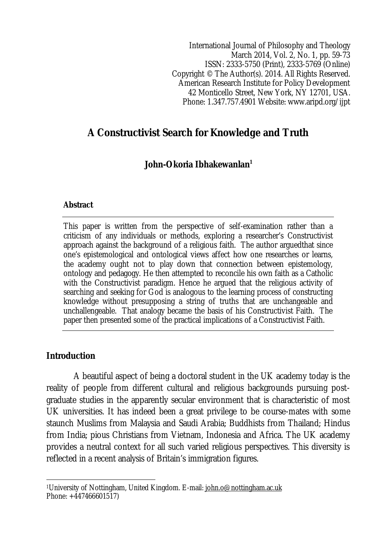International Journal of Philosophy and Theology March 2014, Vol. 2, No. 1, pp. 59-73 ISSN: 2333-5750 (Print), 2333-5769 (Online) Copyright © The Author(s). 2014. All Rights Reserved. American Research Institute for Policy Development 42 Monticello Street, New York, NY 12701, USA. Phone: 1.347.757.4901 Website: www.aripd.org/ijpt

# **A Constructivist Search for Knowledge and Truth**

## **John-Okoria Ibhakewanlan<sup>1</sup>**

#### **Abstract**

This paper is written from the perspective of self-examination rather than a criticism of any individuals or methods, exploring a researcher's Constructivist approach against the background of a religious faith. The author arguedthat since one's epistemological and ontological views affect how one researches or learns, the academy ought not to play down that connection between epistemology, ontology and pedagogy. He then attempted to reconcile his own faith as a Catholic with the Constructivist paradigm. Hence he argued that the religious activity of searching and seeking for God is analogous to the learning process of constructing knowledge without presupposing a string of truths that are unchangeable and unchallengeable. That analogy became the basis of his Constructivist Faith. The paper then presented some of the practical implications of a Constructivist Faith.

## **Introduction**

 $\overline{\phantom{a}}$ 

A beautiful aspect of being a doctoral student in the UK academy today is the reality of people from different cultural and religious backgrounds pursuing postgraduate studies in the apparently secular environment that is characteristic of most UK universities. It has indeed been a great privilege to be course-mates with some staunch Muslims from Malaysia and Saudi Arabia; Buddhists from Thailand; Hindus from India; pious Christians from Vietnam, Indonesia and Africa. The UK academy provides a neutral context for all such varied religious perspectives. This diversity is reflected in a recent analysis of Britain's immigration figures.

<sup>1</sup>University of Nottingham, United Kingdom. E-mail: john.o@nottingham.ac.uk Phone: +447466601517)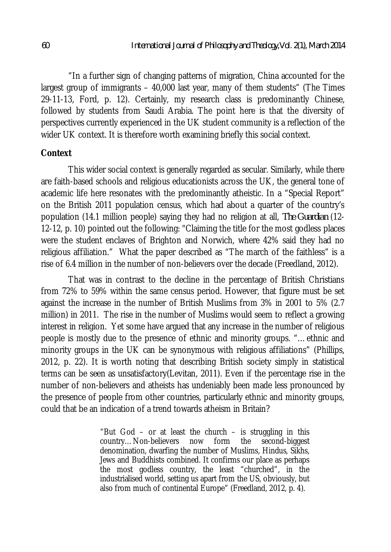"In a further sign of changing patterns of migration, China accounted for the largest group of immigrants – 40,000 last year, many of them students" (The Times 29-11-13, Ford, p. 12). Certainly, my research class is predominantly Chinese, followed by students from Saudi Arabia. The point here is that the diversity of perspectives currently experienced in the UK student community is a reflection of the wider UK context. It is therefore worth examining briefly this social context.

### **Context**

This wider social context is generally regarded as secular. Similarly, while there are faith-based schools and religious educationists across the UK, the general tone of academic life here resonates with the predominantly atheistic. In a "Special Report" on the British 2011 population census, which had about a quarter of the country's population (14.1 million people) saying they had no religion at all, *The Guardian* (12- 12-12, p. 10) pointed out the following: "Claiming the title for the most godless places were the student enclaves of Brighton and Norwich, where 42% said they had no religious affiliation." What the paper described as "The march of the faithless" is a rise of 6.4 million in the number of non-believers over the decade (Freedland, 2012).

That was in contrast to the decline in the percentage of British Christians from 72% to 59% within the same census period. However, that figure must be set against the increase in the number of British Muslims from 3% in 2001 to 5% (2.7 million) in 2011. The rise in the number of Muslims would seem to reflect a growing interest in religion. Yet some have argued that any increase in the number of religious people is mostly due to the presence of ethnic and minority groups. "…ethnic and minority groups in the UK can be synonymous with religious affiliations" (Phillips, 2012, p. 22). It is worth noting that describing British society simply in statistical terms can be seen as unsatisfactory(Levitan, 2011). Even if the percentage rise in the number of non-believers and atheists has undeniably been made less pronounced by the presence of people from other countries, particularly ethnic and minority groups, could that be an indication of a trend towards atheism in Britain?

> "But God  $-$  or at least the church  $-$  is struggling in this country…Non-believers now form the second-biggest denomination, dwarfing the number of Muslims, Hindus, Sikhs, Jews and Buddhists combined. It confirms our place as perhaps the most godless country, the least "churched", in the industrialised world, setting us apart from the US, obviously, but also from much of continental Europe" (Freedland, 2012, p. 4).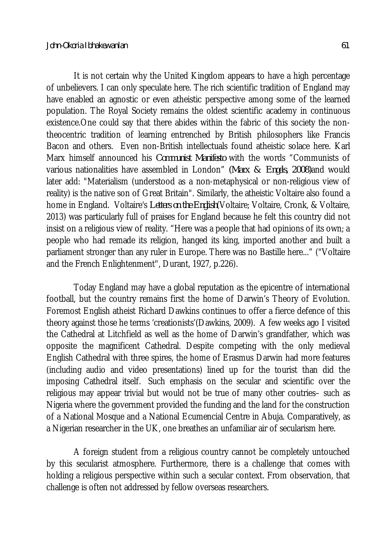It is not certain why the United Kingdom appears to have a high percentage of unbelievers. I can only speculate here. The rich scientific tradition of England may have enabled an agnostic or even atheistic perspective among some of the learned population. The Royal Society remains the oldest scientific academy in continuous existence.One could say that there abides within the fabric of this society the nontheocentric tradition of learning entrenched by British philosophers like Francis Bacon and others. Even non-British intellectuals found atheistic solace here. Karl Marx himself announced his *Communist Manifesto* with the words "Communists of various nationalities have assembled in London" *(Marx & Engels, 2008)*and would later add: "Materialism (understood as a non-metaphysical or non-religious view of reality) is the native son of Great Britain". Similarly, the atheistic Voltaire also found a home in England. Voltaire's *Letters on the English*(Voltaire; Voltaire, Cronk, & Voltaire, 2013) was particularly full of praises for England because he felt this country did not insist on a religious view of reality. "Here was a people that had opinions of its own; a people who had remade its religion, hanged its king, imported another and built a parliament stronger than any ruler in Europe. There was no Bastille here..." ("Voltaire and the French Enlightenment", Durant, 1927, p.226).

Today England may have a global reputation as the epicentre of international football, but the country remains first the home of Darwin's Theory of Evolution. Foremost English atheist Richard Dawkins continues to offer a fierce defence of this theory against those he terms 'creationists'(Dawkins, 2009). A few weeks ago I visited the Cathedral at Litchfield as well as the home of Darwin's grandfather, which was opposite the magnificent Cathedral. Despite competing with the only medieval English Cathedral with three spires, the home of Erasmus Darwin had more features (including audio and video presentations) lined up for the tourist than did the imposing Cathedral itself. Such emphasis on the secular and scientific over the religious may appear trivial but would not be true of many other coutries– such as Nigeria where the government provided the funding and the land for the construction of a National Mosque and a National Ecumencial Centre in Abuja. Comparatively, as a Nigerian researcher in the UK, one breathes an unfamiliar air of secularism here.

A foreign student from a religious country cannot be completely untouched by this secularist atmosphere. Furthermore, there is a challenge that comes with holding a religious perspective within such a secular context. From observation, that challenge is often not addressed by fellow overseas researchers.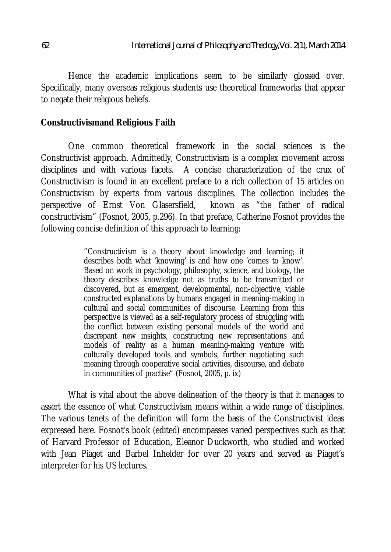Hence the academic implications seem to be similarly glossed over. Specifically, many overseas religious students use theoretical frameworks that appear to negate their religious beliefs.

### **Constructivismand Religious Faith**

One common theoretical framework in the social sciences is the Constructivist approach. Admittedly, Constructivism is a complex movement across disciplines and with various facets. A concise characterization of the crux of Constructivism is found in an excellent preface to a rich collection of 15 articles on Constructivism by experts from various disciplines. The collection includes the perspective of Ernst Von Glasersfield, known as "the father of radical constructivism" (Fosnot, 2005, p.296). In that preface, Catherine Fosnot provides the following concise definition of this approach to learning:

> "Constructivism is a theory about knowledge and learning; it describes both what 'knowing' is and how one 'comes to know'. Based on work in psychology, philosophy, science, and biology, the theory describes knowledge not as truths to be transmitted or discovered, but as emergent, developmental, non-objective, viable constructed explanations by humans engaged in meaning-making in cultural and social communities of discourse. Learning from this perspective is viewed as a self-regulatory process of struggling with the conflict between existing personal models of the world and discrepant new insights, constructing new representations and models of reality as a human meaning-making venture with culturally developed tools and symbols, further negotiating such meaning through cooperative social activities, discourse, and debate in communities of practise" (Fosnot, 2005, p. ix)

What is vital about the above delineation of the theory is that it manages to assert the essence of what Constructivism means within a wide range of disciplines. The various tenets of the definition will form the basis of the Constructivist ideas expressed here. Fosnot's book (edited) encompasses varied perspectives such as that of Harvard Professor of Education, Eleanor Duckworth, who studied and worked with Jean Piaget and Barbel Inhelder for over 20 years and served as Piaget's interpreter for his US lectures.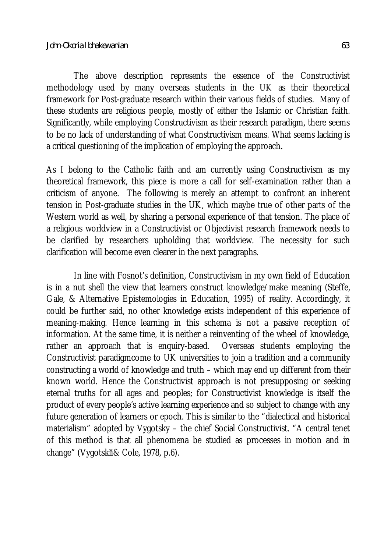The above description represents the essence of the Constructivist methodology used by many overseas students in the UK as their theoretical framework for Post-graduate research within their various fields of studies. Many of these students are religious people, mostly of either the Islamic or Christian faith. Significantly, while employing Constructivism as their research paradigm, there seems to be no lack of understanding of what Constructivism means. What seems lacking is a critical questioning of the implication of employing the approach.

As I belong to the Catholic faith and am currently using Constructivism as my theoretical framework, this piece is more a call for self-examination rather than a criticism of anyone. The following is merely an attempt to confront an inherent tension in Post-graduate studies in the UK, which maybe true of other parts of the Western world as well, by sharing a personal experience of that tension. The place of a religious worldview in a Constructivist or Objectivist research framework needs to be clarified by researchers upholding that worldview. The necessity for such clarification will become even clearer in the next paragraphs.

In line with Fosnot's definition, Constructivism in my own field of Education is in a nut shell the view that learners construct knowledge/make meaning (Steffe, Gale, & Alternative Epistemologies in Education, 1995) of reality. Accordingly, it could be further said, no other knowledge exists independent of this experience of meaning-making. Hence learning in this schema is not a passive reception of information. At the same time, it is neither a reinventing of the wheel of knowledge, rather an approach that is enquiry-based. Overseas students employing the Constructivist paradigmcome to UK universities to join a tradition and a community constructing a world of knowledge and truth – which may end up different from their known world. Hence the Constructivist approach is not presupposing or seeking eternal truths for all ages and peoples; for Constructivist knowledge is itself the product of every people's active learning experience and so subject to change with any future generation of learners or epoch. This is similar to the "dialectical and historical materialism" adopted by Vygotsky – the chief Social Constructivist. "A central tenet of this method is that all phenomena be studied as processes in motion and in change" (Vygotskij& Cole, 1978, p.6).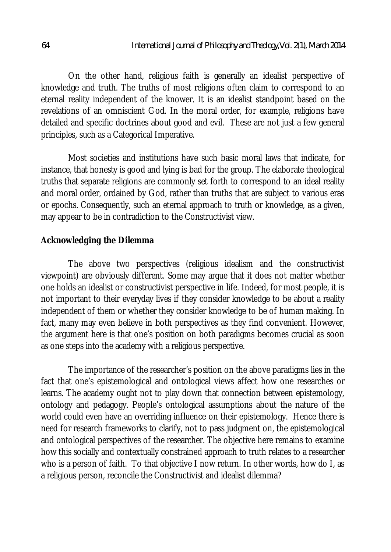On the other hand, religious faith is generally an idealist perspective of knowledge and truth. The truths of most religions often claim to correspond to an eternal reality independent of the knower. It is an idealist standpoint based on the revelations of an omniscient God. In the moral order, for example, religions have detailed and specific doctrines about good and evil. These are not just a few general principles, such as a Categorical Imperative.

Most societies and institutions have such basic moral laws that indicate, for instance, that honesty is good and lying is bad for the group. The elaborate theological truths that separate religions are commonly set forth to correspond to an ideal reality and moral order, ordained by God, rather than truths that are subject to various eras or epochs. Consequently, such an eternal approach to truth or knowledge, as a given, may appear to be in contradiction to the Constructivist view.

### **Acknowledging the Dilemma**

The above two perspectives (religious idealism and the constructivist viewpoint) are obviously different. Some may argue that it does not matter whether one holds an idealist or constructivist perspective in life. Indeed, for most people, it is not important to their everyday lives if they consider knowledge to be about a reality independent of them or whether they consider knowledge to be of human making. In fact, many may even believe in both perspectives as they find convenient. However, the argument here is that one's position on both paradigms becomes crucial as soon as one steps into the academy with a religious perspective.

The importance of the researcher's position on the above paradigms lies in the fact that one's epistemological and ontological views affect how one researches or learns. The academy ought not to play down that connection between epistemology, ontology and pedagogy. People's ontological assumptions about the nature of the world could even have an overriding influence on their epistemology. Hence there is need for research frameworks to clarify, not to pass judgment on, the epistemological and ontological perspectives of the researcher. The objective here remains to examine how this socially and contextually constrained approach to truth relates to a researcher who is a person of faith. To that objective I now return. In other words, how do I, as a religious person, reconcile the Constructivist and idealist dilemma?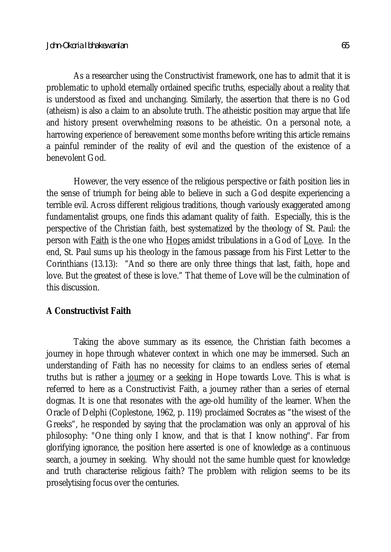As a researcher using the Constructivist framework, one has to admit that it is problematic to uphold eternally ordained specific truths, especially about a reality that is understood as fixed and unchanging. Similarly, the assertion that there is no God (atheism) is also a claim to an absolute truth. The atheistic position may argue that life and history present overwhelming reasons to be atheistic. On a personal note, a harrowing experience of bereavement some months before writing this article remains a painful reminder of the reality of evil and the question of the existence of a benevolent God.

However, the very essence of the religious perspective or faith position lies in the sense of triumph for being able to believe in such a God despite experiencing a terrible evil. Across different religious traditions, though variously exaggerated among fundamentalist groups, one finds this adamant quality of faith. Especially, this is the perspective of the Christian faith, best systematized by the theology of St. Paul: the person with **Faith** is the one who **Hopes** amidst tribulations in a God of Love. In the end, St. Paul sums up his theology in the famous passage from his First Letter to the Corinthians (13.13): "And so there are only three things that last, faith, hope and love. But the greatest of these is love." That theme of Love will be the culmination of this discussion.

### **A Constructivist Faith**

Taking the above summary as its essence, the Christian faith becomes a journey in hope through whatever context in which one may be immersed. Such an understanding of Faith has no necessity for claims to an endless series of eternal truths but is rather a journey or a seeking in Hope towards Love. This is what is referred to here as a Constructivist Faith, a journey rather than a series of eternal dogmas. It is one that resonates with the age-old humility of the learner. When the Oracle of Delphi (Coplestone, 1962, p. 119) proclaimed Socrates as "the wisest of the Greeks", he responded by saying that the proclamation was only an approval of his philosophy: "One thing only I know, and that is that I know nothing". Far from glorifying ignorance, the position here asserted is one of knowledge as a continuous search, a journey in seeking. Why should not the same humble quest for knowledge and truth characterise religious faith? The problem with religion seems to be its proselytising focus over the centuries.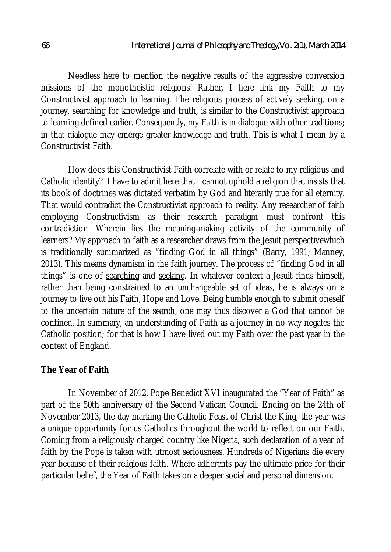Needless here to mention the negative results of the aggressive conversion missions of the monotheistic religions! Rather, I here link my Faith to my Constructivist approach to learning. The religious process of actively seeking, on a journey, searching for knowledge and truth, is similar to the Constructivist approach to learning defined earlier. Consequently, my Faith is in dialogue with other traditions; in that dialogue may emerge greater knowledge and truth. This is what I mean by a Constructivist Faith.

How does this Constructivist Faith correlate with or relate to my religious and Catholic identity? I have to admit here that I cannot uphold a religion that insists that its book of doctrines was dictated verbatim by God and literarily true for all eternity. That would contradict the Constructivist approach to reality. Any researcher of faith employing Constructivism as their research paradigm must confront this contradiction. Wherein lies the meaning-making activity of the community of learners? My approach to faith as a researcher draws from the Jesuit perspectivewhich is traditionally summarized as "finding God in all things" (Barry, 1991; Manney, 2013). This means dynamism in the faith journey. The process of "finding God in all things" is one of searching and seeking. In whatever context a Jesuit finds himself, rather than being constrained to an unchangeable set of ideas, he is always on a journey to live out his Faith, Hope and Love. Being humble enough to submit oneself to the uncertain nature of the search, one may thus discover a God that cannot be confined. In summary, an understanding of Faith as a journey in no way negates the Catholic position; for that is how I have lived out my Faith over the past year in the context of England.

### **The Year of Faith**

In November of 2012, Pope Benedict XVI inaugurated the "Year of Faith" as part of the 50th anniversary of the Second Vatican Council. Ending on the 24th of November 2013, the day marking the Catholic Feast of Christ the King, the year was a unique opportunity for us Catholics throughout the world to reflect on our Faith. Coming from a religiously charged country like Nigeria, such declaration of a year of faith by the Pope is taken with utmost seriousness. Hundreds of Nigerians die every year because of their religious faith. Where adherents pay the ultimate price for their particular belief, the Year of Faith takes on a deeper social and personal dimension.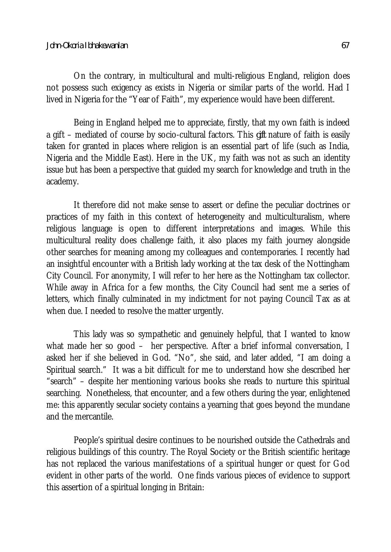#### *John-Okoria Ibhakewanlan 67*

On the contrary, in multicultural and multi-religious England, religion does not possess such exigency as exists in Nigeria or similar parts of the world. Had I lived in Nigeria for the "Year of Faith", my experience would have been different.

Being in England helped me to appreciate, firstly, that my own faith is indeed a gift – mediated of course by socio-cultural factors. This *gift* nature of faith is easily taken for granted in places where religion is an essential part of life (such as India, Nigeria and the Middle East). Here in the UK, my faith was not as such an identity issue but has been a perspective that guided my search for knowledge and truth in the academy.

It therefore did not make sense to assert or define the peculiar doctrines or practices of my faith in this context of heterogeneity and multiculturalism, where religious language is open to different interpretations and images. While this multicultural reality does challenge faith, it also places my faith journey alongside other searches for meaning among my colleagues and contemporaries. I recently had an insightful encounter with a British lady working at the tax desk of the Nottingham City Council. For anonymity, I will refer to her here as the Nottingham tax collector. While away in Africa for a few months, the City Council had sent me a series of letters, which finally culminated in my indictment for not paying Council Tax as at when due. I needed to resolve the matter urgently.

This lady was so sympathetic and genuinely helpful, that I wanted to know what made her so good – her perspective. After a brief informal conversation, I asked her if she believed in God. "No", she said, and later added, "I am doing a Spiritual search." It was a bit difficult for me to understand how she described her "search" – despite her mentioning various books she reads to nurture this spiritual searching. Nonetheless, that encounter, and a few others during the year, enlightened me: this apparently secular society contains a yearning that goes beyond the mundane and the mercantile.

People's spiritual desire continues to be nourished outside the Cathedrals and religious buildings of this country. The Royal Society or the British scientific heritage has not replaced the various manifestations of a spiritual hunger or quest for God evident in other parts of the world. One finds various pieces of evidence to support this assertion of a spiritual longing in Britain: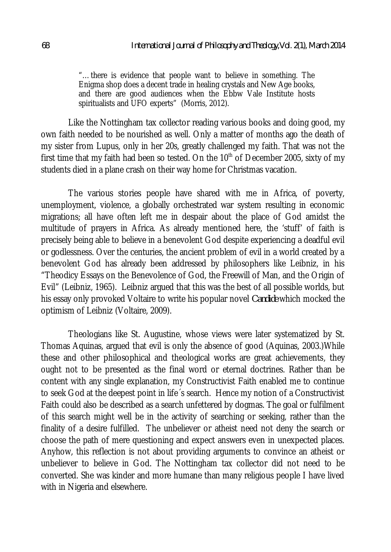"…there is evidence that people want to believe in something. The Enigma shop does a decent trade in healing crystals and New Age books, and there are good audiences when the Ebbw Vale Institute hosts spiritualists and UFO experts" (Morris, 2012).

Like the Nottingham tax collector reading various books and doing good, my own faith needed to be nourished as well. Only a matter of months ago the death of my sister from Lupus, only in her 20s, greatly challenged my faith. That was not the first time that my faith had been so tested. On the  $10<sup>th</sup>$  of December 2005, sixty of my students died in a plane crash on their way home for Christmas vacation.

The various stories people have shared with me in Africa, of poverty, unemployment, violence, a globally orchestrated war system resulting in economic migrations; all have often left me in despair about the place of God amidst the multitude of prayers in Africa. As already mentioned here, the 'stuff' of faith is precisely being able to believe in a benevolent God despite experiencing a deadful evil or godlessness. Over the centuries, the ancient problem of evil in a world created by a benevolent God has already been addressed by philosophers like Leibniz, in his "Theodicy Essays on the Benevolence of God, the Freewill of Man, and the Origin of Evil" (Leibniz, 1965). Leibniz argued that this was the best of all possible worlds, but his essay only provoked Voltaire to write his popular novel *Candide* which mocked the optimism of Leibniz (Voltaire, 2009).

Theologians like St. Augustine, whose views were later systematized by St. Thomas Aquinas, argued that evil is only the absence of good (Aquinas, 2003.)While these and other philosophical and theological works are great achievements, they ought not to be presented as the final word or eternal doctrines. Rather than be content with any single explanation, my Constructivist Faith enabled me to continue to seek God at the deepest point in life´s search. Hence my notion of a Constructivist Faith could also be described as a search unfettered by dogmas. The goal or fulfilment of this search might well be in the activity of searching or seeking, rather than the finality of a desire fulfilled. The unbeliever or atheist need not deny the search or choose the path of mere questioning and expect answers even in unexpected places. Anyhow, this reflection is not about providing arguments to convince an atheist or unbeliever to believe in God. The Nottingham tax collector did not need to be converted. She was kinder and more humane than many religious people I have lived with in Nigeria and elsewhere.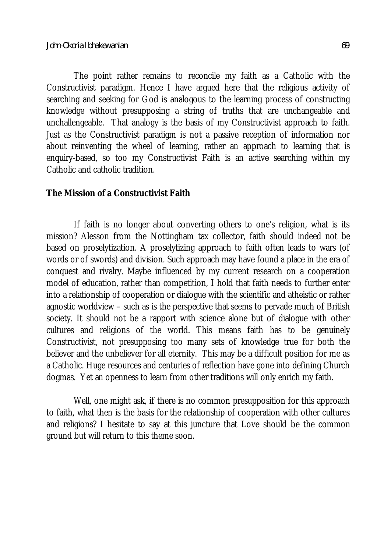The point rather remains to reconcile my faith as a Catholic with the Constructivist paradigm. Hence I have argued here that the religious activity of searching and seeking for God is analogous to the learning process of constructing knowledge without presupposing a string of truths that are unchangeable and unchallengeable. That analogy is the basis of my Constructivist approach to faith. Just as the Constructivist paradigm is not a passive reception of information nor about reinventing the wheel of learning, rather an approach to learning that is enquiry-based, so too my Constructivist Faith is an active searching within my Catholic and catholic tradition.

### **The Mission of a Constructivist Faith**

If faith is no longer about converting others to one's religion, what is its mission? Alesson from the Nottingham tax collector, faith should indeed not be based on proselytization. A proselytizing approach to faith often leads to wars (of words or of swords) and division. Such approach may have found a place in the era of conquest and rivalry. Maybe influenced by my current research on a cooperation model of education, rather than competition, I hold that faith needs to further enter into a relationship of cooperation or dialogue with the scientific and atheistic or rather agnostic worldview – such as is the perspective that seems to pervade much of British society. It should not be a rapport with science alone but of dialogue with other cultures and religions of the world. This means faith has to be genuinely Constructivist, not presupposing too many sets of knowledge true for both the believer and the unbeliever for all eternity. This may be a difficult position for me as a Catholic. Huge resources and centuries of reflection have gone into defining Church dogmas. Yet an openness to learn from other traditions will only enrich my faith.

Well, one might ask, if there is no common presupposition for this approach to faith, what then is the basis for the relationship of cooperation with other cultures and religions? I hesitate to say at this juncture that Love should be the common ground but will return to this theme soon.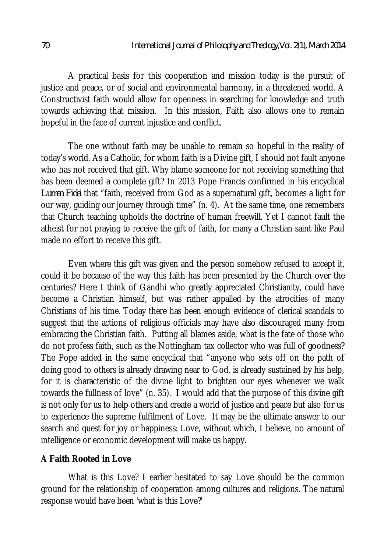A practical basis for this cooperation and mission today is the pursuit of justice and peace, or of social and environmental harmony, in a threatened world. A Constructivist faith would allow for openness in searching for knowledge and truth towards achieving that mission. In this mission, Faith also allows one to remain hopeful in the face of current injustice and conflict.

The one without faith may be unable to remain so hopeful in the reality of today's world. As a Catholic, for whom faith is a Divine gift, I should not fault anyone who has not received that gift. Why blame someone for not receiving something that has been deemed a complete gift? In 2013 Pope Francis confirmed in his encyclical *Lumen Fidei* that "faith, received from God as a supernatural gift, becomes a light for our way, guiding our journey through time" (n. 4). At the same time, one remembers that Church teaching upholds the doctrine of human freewill. Yet I cannot fault the atheist for not praying to receive the gift of faith, for many a Christian saint like Paul made no effort to receive this gift.

Even where this gift was given and the person somehow refused to accept it, could it be because of the way this faith has been presented by the Church over the centuries? Here I think of Gandhi who greatly appreciated Christianity, could have become a Christian himself, but was rather appalled by the atrocities of many Christians of his time. Today there has been enough evidence of clerical scandals to suggest that the actions of religious officials may have also discouraged many from embracing the Christian faith. Putting all blames aside, what is the fate of those who do not profess faith, such as the Nottingham tax collector who was full of goodness? The Pope added in the same encyclical that "anyone who sets off on the path of doing good to others is already drawing near to God, is already sustained by his help, for it is characteristic of the divine light to brighten our eyes whenever we walk towards the fullness of love" (n. 35). I would add that the purpose of this divine gift is not only for us to help others and create a world of justice and peace but also for us to experience the supreme fulfilment of Love. It may be the ultimate answer to our search and quest for joy or happiness: Love, without which, I believe, no amount of intelligence or economic development will make us happy.

## **A Faith Rooted in Love**

What is this Love? I earlier hesitated to say Love should be the common ground for the relationship of cooperation among cultures and religions. The natural response would have been 'what is this Love?'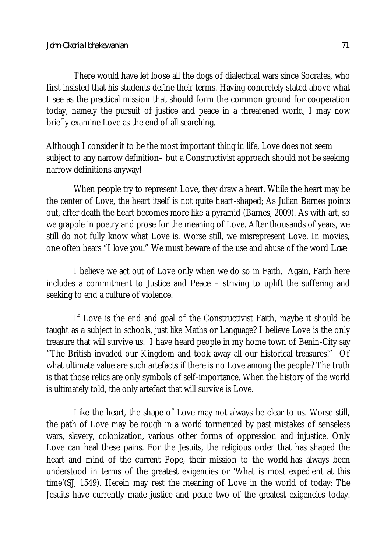There would have let loose all the dogs of dialectical wars since Socrates, who first insisted that his students define their terms. Having concretely stated above what I see as the practical mission that should form the common ground for cooperation today, namely the pursuit of justice and peace in a threatened world, I may now briefly examine Love as the end of all searching.

Although I consider it to be the most important thing in life, Love does not seem subject to any narrow definition– but a Constructivist approach should not be seeking narrow definitions anyway!

When people try to represent Love, they draw a heart. While the heart may be the center of Love, the heart itself is not quite heart-shaped; As Julian Barnes points out, after death the heart becomes more like a pyramid (Barnes, 2009). As with art, so we grapple in poetry and prose for the meaning of Love. After thousands of years, we still do not fully know what Love is. Worse still, we misrepresent Love. In movies, one often hears "I love you." We must beware of the use and abuse of the word *Love.*

I believe we act out of Love only when we do so in Faith. Again, Faith here includes a commitment to Justice and Peace – striving to uplift the suffering and seeking to end a culture of violence.

If Love is the end and goal of the Constructivist Faith, maybe it should be taught as a subject in schools, just like Maths or Language? I believe Love is the only treasure that will survive us. I have heard people in my home town of Benin-City say "The British invaded our Kingdom and took away all our historical treasures!" Of what ultimate value are such artefacts if there is no Love among the people? The truth is that those relics are only symbols of self-importance. When the history of the world is ultimately told, the only artefact that will survive is Love.

Like the heart, the shape of Love may not always be clear to us. Worse still, the path of Love may be rough in a world tormented by past mistakes of senseless wars, slavery, colonization, various other forms of oppression and injustice. Only Love can heal these pains. For the Jesuits, the religious order that has shaped the heart and mind of the current Pope, their mission to the world has always been understood in terms of the greatest exigencies or 'What is most expedient at this time'(SJ, 1549). Herein may rest the meaning of Love in the world of today: The Jesuits have currently made justice and peace two of the greatest exigencies today.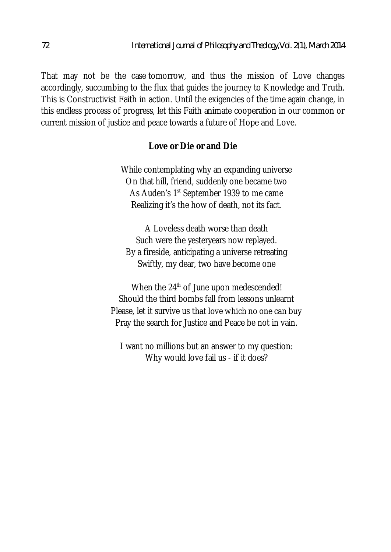That may not be the case tomorrow, and thus the mission of Love changes accordingly, succumbing to the flux that guides the journey to Knowledge and Truth. This is Constructivist Faith in action. Until the exigencies of the time again change, in this endless process of progress, let this Faith animate cooperation in our common or current mission of justice and peace towards a future of Hope and Love.

### **Love or Die or and Die**

While contemplating why an expanding universe On that hill, friend, suddenly one became two As Auden's 1<sup>st</sup> September 1939 to me came Realizing it's the how of death, not its fact.

A Loveless death worse than death Such were the yesteryears now replayed. By a fireside, anticipating a universe retreating Swiftly, my dear, two have become one

When the 24<sup>th</sup> of June upon medescended! Should the third bombs fall from lessons unlearnt Please, let it survive us that love which no one can buy Pray the search for Justice and Peace be not in vain.

I want no millions but an answer to my question: Why would love fail us - if it does?